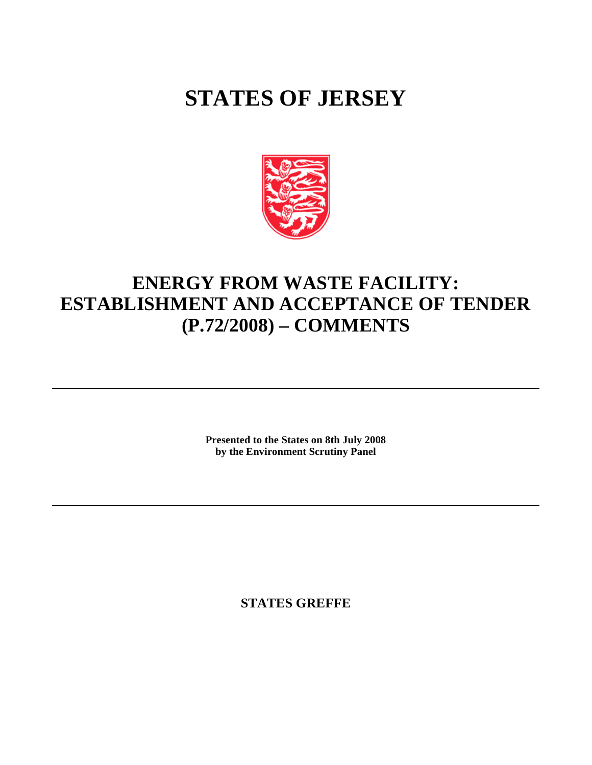# **STATES OF JERSEY**



# **ENERGY FROM WASTE FACILITY: ESTABLISHMENT AND ACCEPTANCE OF TENDER (P.72/2008) – COMMENTS**

**Presented to the States on 8th July 2008 by the Environment Scrutiny Panel**

**STATES GREFFE**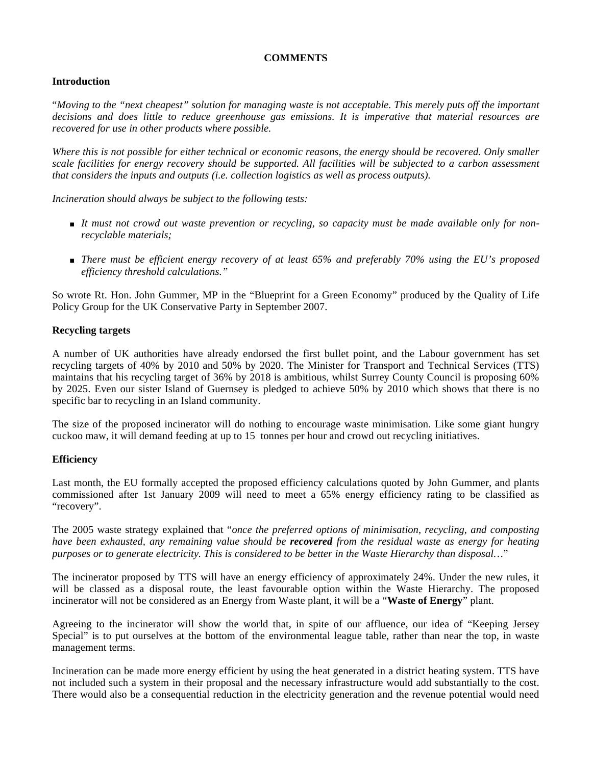# **COMMENTS**

# **Introduction**

"*Moving to the "next cheapest" solution for managing waste is not acceptable. This merely puts off the important decisions and does little to reduce greenhouse gas emissions. It is imperative that material resources are recovered for use in other products where possible.*

*Where this is not possible for either technical or economic reasons, the energy should be recovered. Only smaller scale facilities for energy recovery should be supported. All facilities will be subjected to a carbon assessment that considers the inputs and outputs (i.e. collection logistics as well as process outputs).*

*Incineration should always be subject to the following tests:*

- *It must not crowd out waste prevention or recycling, so capacity must be made available only for nonrecyclable materials;*
- *There must be efficient energy recovery of at least 65% and preferably 70% using the EU's proposed efficiency threshold calculations."*

So wrote Rt. Hon. John Gummer, MP in the "Blueprint for a Green Economy" produced by the Quality of Life Policy Group for the UK Conservative Party in September 2007.

# **Recycling targets**

A number of UK authorities have already endorsed the first bullet point, and the Labour government has set recycling targets of 40% by 2010 and 50% by 2020. The Minister for Transport and Technical Services (TTS) maintains that his recycling target of 36% by 2018 is ambitious, whilst Surrey County Council is proposing 60% by 2025. Even our sister Island of Guernsey is pledged to achieve 50% by 2010 which shows that there is no specific bar to recycling in an Island community.

The size of the proposed incinerator will do nothing to encourage waste minimisation. Like some giant hungry cuckoo maw, it will demand feeding at up to 15 tonnes per hour and crowd out recycling initiatives.

# **Efficiency**

Last month, the EU formally accepted the proposed efficiency calculations quoted by John Gummer, and plants commissioned after 1st January 2009 will need to meet a 65% energy efficiency rating to be classified as "recovery".

The 2005 waste strategy explained that "*once the preferred options of minimisation, recycling, and composting have been exhausted, any remaining value should be recovered from the residual waste as energy for heating purposes or to generate electricity. This is considered to be better in the Waste Hierarchy than disposal…*"

The incinerator proposed by TTS will have an energy efficiency of approximately 24%. Under the new rules, it will be classed as a disposal route, the least favourable option within the Waste Hierarchy. The proposed incinerator will not be considered as an Energy from Waste plant, it will be a "**Waste of Energy**" plant.

Agreeing to the incinerator will show the world that, in spite of our affluence, our idea of "Keeping Jersey Special" is to put ourselves at the bottom of the environmental league table, rather than near the top, in waste management terms.

Incineration can be made more energy efficient by using the heat generated in a district heating system. TTS have not included such a system in their proposal and the necessary infrastructure would add substantially to the cost. There would also be a consequential reduction in the electricity generation and the revenue potential would need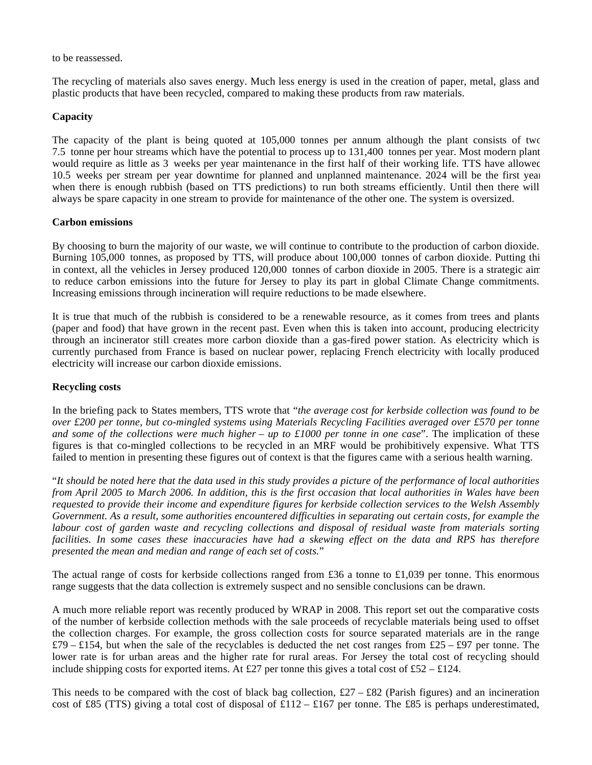to be reassessed.

The recycling of materials also saves energy. Much less energy is used in the creation of paper, metal, glass and plastic products that have been recycled, compared to making these products from raw materials.

# **Capacity**

The capacity of the plant is being quoted at 105,000 tonnes per annum although the plant consists of two 7.5 tonne per hour streams which have the potential to process up to 131,400 tonnes per year. Most modern plants would require as little as 3 weeks per year maintenance in the first half of their working life. TTS have allowed 10.5 weeks per stream per year downtime for planned and unplanned maintenance. 2024 will be the first year when there is enough rubbish (based on TTS predictions) to run both streams efficiently. Until then there will always be spare capacity in one stream to provide for maintenance of the other one. The system is oversized.

#### **Carbon emissions**

By choosing to burn the majority of our waste, we will continue to contribute to the production of carbon dioxide. Burning 105,000 tonnes, as proposed by TTS, will produce about 100,000 tonnes of carbon dioxide. Putting this in context, all the vehicles in Jersey produced 120,000 tonnes of carbon dioxide in 2005. There is a strategic aim to reduce carbon emissions into the future for Jersey to play its part in global Climate Change commitments. Increasing emissions through incineration will require reductions to be made elsewhere.

It is true that much of the rubbish is considered to be a renewable resource, as it comes from trees and plants (paper and food) that have grown in the recent past. Even when this is taken into account, producing electricity through an incinerator still creates more carbon dioxide than a gas-fired power station. As electricity which is currently purchased from France is based on nuclear power, replacing French electricity with locally produced electricity will increase our carbon dioxide emissions.

### **Recycling costs**

In the briefing pack to States members, TTS wrote that "*the average cost for kerbside collection was found to be over £200 per tonne, but co-mingled systems using Materials Recycling Facilities averaged over £570 per tonne and some of the collections were much higher – up to £1000 per tonne in one case". The implication of these* figures is that co-mingled collections to be recycled in an MRF would be prohibitively expensive. What TTS failed to mention in presenting these figures out of context is that the figures came with a serious health warning.

"*It should be noted here that the data used in this study provides a picture of the performance of local authorities from April 2005 to March 2006. In addition, this is the first occasion that local authorities in Wales have been requested to provide their income and expenditure figures for kerbside collection services to the Welsh Assembly Government. As a result, some authorities encountered difficulties in separating out certain costs, for example the labour cost of garden waste and recycling collections and disposal of residual waste from materials sorting facilities. In some cases these inaccuracies have had a skewing effect on the data and RPS has therefore presented the mean and median and range of each set of costs.*"

The actual range of costs for kerbside collections ranged from £36 a tonne to £1,039 per tonne. This enormous range suggests that the data collection is extremely suspect and no sensible conclusions can be drawn.

A much more reliable report was recently produced by WRAP in 2008. This report set out the comparative costs of the number of kerbside collection methods with the sale proceeds of recyclable materials being used to offset the collection charges. For example, the gross collection costs for source separated materials are in the range £79 – £154, but when the sale of the recyclables is deducted the net cost ranges from £25 – £97 per tonne. The lower rate is for urban areas and the higher rate for rural areas. For Jersey the total cost of recycling should include shipping costs for exported items. At £27 per tonne this gives a total cost of £52 – £124.

This needs to be compared with the cost of black bag collection,  $\pounds 27 - \pounds 82$  (Parish figures) and an incineration cost of £85 (TTS) giving a total cost of disposal of £112 – £167 per tonne. The £85 is perhaps underestimated,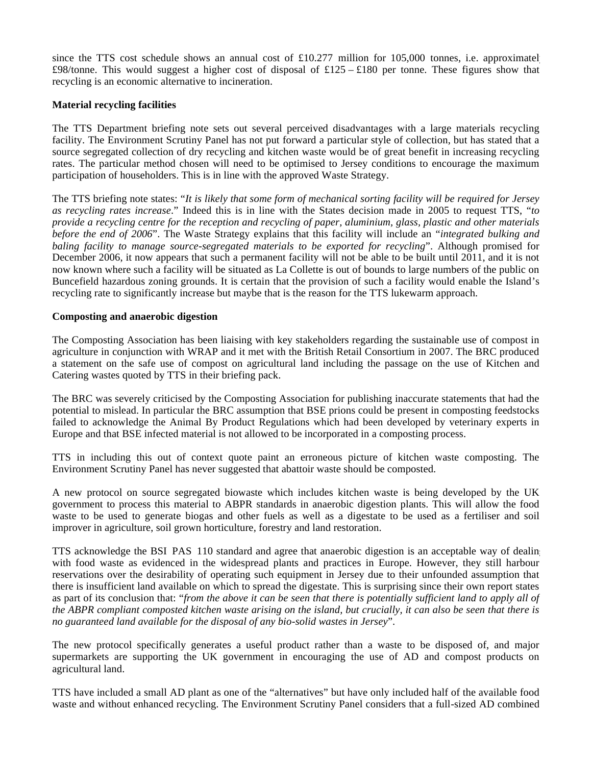since the TTS cost schedule shows an annual cost of  $£10.277$  million for 105,000 tonnes, i.e. approximately £98/tonne. This would suggest a higher cost of disposal of £125 – £180 per tonne. These figures show that recycling is an economic alternative to incineration.

#### **Material recycling facilities**

The TTS Department briefing note sets out several perceived disadvantages with a large materials recycling facility. The Environment Scrutiny Panel has not put forward a particular style of collection, but has stated that a source segregated collection of dry recycling and kitchen waste would be of great benefit in increasing recycling rates. The particular method chosen will need to be optimised to Jersey conditions to encourage the maximum participation of householders. This is in line with the approved Waste Strategy.

The TTS briefing note states: "*It is likely that some form of mechanical sorting facility will be required for Jersey as recycling rates increase*." Indeed this is in line with the States decision made in 2005 to request TTS, "*to provide a recycling centre for the reception and recycling of paper, aluminium, glass, plastic and other materials before the end of 2006*". The Waste Strategy explains that this facility will include an "*integrated bulking and baling facility to manage source-segregated materials to be exported for recycling*". Although promised for December 2006, it now appears that such a permanent facility will not be able to be built until 2011, and it is not now known where such a facility will be situated as La Collette is out of bounds to large numbers of the public on Buncefield hazardous zoning grounds. It is certain that the provision of such a facility would enable the Island's recycling rate to significantly increase but maybe that is the reason for the TTS lukewarm approach.

# **Composting and anaerobic digestion**

The Composting Association has been liaising with key stakeholders regarding the sustainable use of compost in agriculture in conjunction with WRAP and it met with the British Retail Consortium in 2007. The BRC produced a statement on the safe use of compost on agricultural land including the passage on the use of Kitchen and Catering wastes quoted by TTS in their briefing pack.

The BRC was severely criticised by the Composting Association for publishing inaccurate statements that had the potential to mislead. In particular the BRC assumption that BSE prions could be present in composting feedstocks failed to acknowledge the Animal By Product Regulations which had been developed by veterinary experts in Europe and that BSE infected material is not allowed to be incorporated in a composting process.

TTS in including this out of context quote paint an erroneous picture of kitchen waste composting. The Environment Scrutiny Panel has never suggested that abattoir waste should be composted.

A new protocol on source segregated biowaste which includes kitchen waste is being developed by the UK government to process this material to ABPR standards in anaerobic digestion plants. This will allow the food waste to be used to generate biogas and other fuels as well as a digestate to be used as a fertiliser and soil improver in agriculture, soil grown horticulture, forestry and land restoration.

TTS acknowledge the BSI PAS 110 standard and agree that anaerobic digestion is an acceptable way of dealing with food waste as evidenced in the widespread plants and practices in Europe. However, they still harbour reservations over the desirability of operating such equipment in Jersey due to their unfounded assumption that there is insufficient land available on which to spread the digestate. This is surprising since their own report states as part of its conclusion that: "*from the above it can be seen that there is potentially sufficient land to apply all of the ABPR compliant composted kitchen waste arising on the island, but crucially, it can also be seen that there is no guaranteed land available for the disposal of any bio-solid wastes in Jersey*".

The new protocol specifically generates a useful product rather than a waste to be disposed of, and major supermarkets are supporting the UK government in encouraging the use of AD and compost products on agricultural land.

TTS have included a small AD plant as one of the "alternatives" but have only included half of the available food waste and without enhanced recycling. The Environment Scrutiny Panel considers that a full-sized AD combined